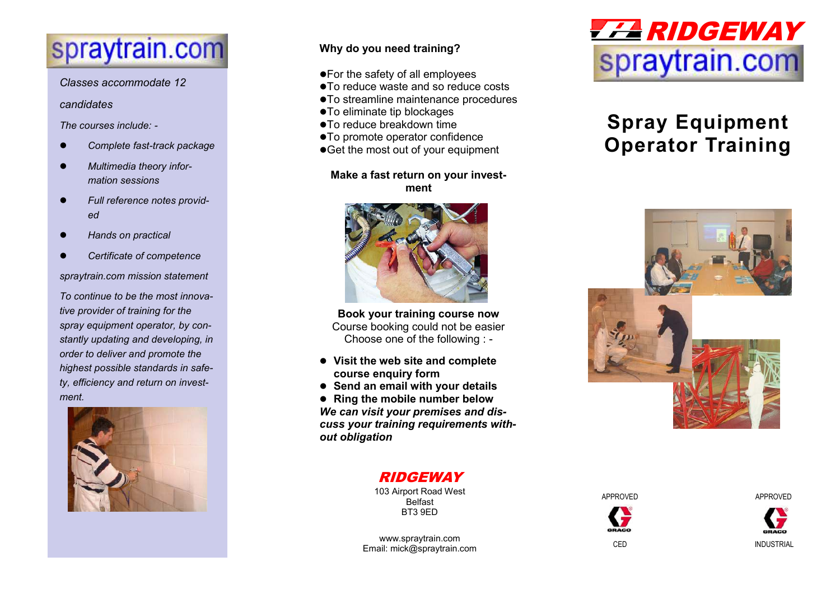# spraytrain.com

*Classes accommodate 12* 

#### *candidates*

*The courses include: -* 

- *Complete fast-track package*
- *Multimedia theory information sessions*
- *Full reference notes provided*
- *Hands on practical*
- *Certificate of competence*

*spraytrain.com mission statement*

*To continue to be the most innovative provider of training for the spray equipment operator, by constantly updating and developing, in order to deliver and promote the highest possible standards in safety, efficiency and return on investment.*



# **Why do you need training?**

- For the safety of all employees
- To reduce waste and so reduce costs
- To streamline maintenance procedures
- To eliminate tip blockages
- To reduce breakdown time
- To promote operator confidence
- Get the most out of your equipment

### **Make a fast return on your investment**



**Book your training course now** Course booking could not be easier Choose one of the following : -

- **Visit the web site and complete course enquiry form**
- **Send an email with your details**
- **Ring the mobile number below** *We can visit your premises and discuss your training requirements without obligation*



# **Spray Equipment Operator Training**



RIDGEWAY

103 Airport Road West Belfast BT3 9ED

www.spraytrain.com Email: mick@spraytrain.com APPROVED



APPROVED



CED INDUSTRIAL